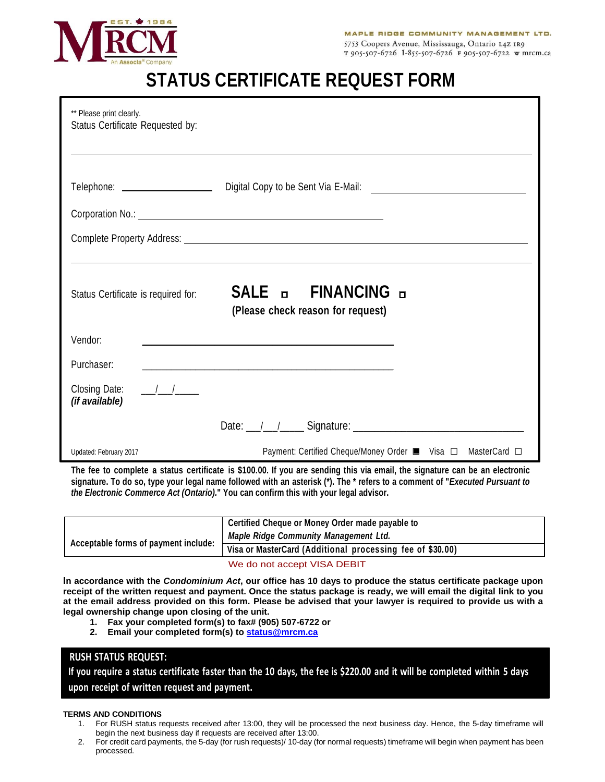

# **STATUS CERTIFICATE REQUEST FORM**

| ** Please print clearly.<br>Status Certificate Requested by:                         |                                                                                                                      |  |  |  |  |  |
|--------------------------------------------------------------------------------------|----------------------------------------------------------------------------------------------------------------------|--|--|--|--|--|
|                                                                                      |                                                                                                                      |  |  |  |  |  |
|                                                                                      |                                                                                                                      |  |  |  |  |  |
|                                                                                      |                                                                                                                      |  |  |  |  |  |
|                                                                                      |                                                                                                                      |  |  |  |  |  |
|                                                                                      |                                                                                                                      |  |  |  |  |  |
| Status Certificate is required for:                                                  | SALE <b>DE FINANCING</b> D<br>(Please check reason for request)                                                      |  |  |  |  |  |
| Vendor:                                                                              |                                                                                                                      |  |  |  |  |  |
| Purchaser:                                                                           | <u> 1989 - Johann John Harry Harry Harry Harry Harry Harry Harry Harry Harry Harry Harry Harry Harry Harry Harry</u> |  |  |  |  |  |
| Closing Date: $\frac{\sqrt{1-\frac{1}{2}}}{\sqrt{1-\frac{1}{2}}}}$<br>(if available) |                                                                                                                      |  |  |  |  |  |
|                                                                                      |                                                                                                                      |  |  |  |  |  |
| Updated: February 2017                                                               | Payment: Certified Cheque/Money Order ■ Visa □ MasterCard □                                                          |  |  |  |  |  |

**The fee to complete a status certificate is \$100.00. If you are sending this via email, the signature can be an electronic signature. To do so, type your legal name followed with an asterisk (\*). The \* refers to a comment of "***Executed Pursuant to the Electronic Commerce Act (Ontario).***" You can confirm this with your legal advisor.**

|                                      | Certified Cheque or Money Order made payable to           |  |  |
|--------------------------------------|-----------------------------------------------------------|--|--|
| Acceptable forms of payment include: | <b>Maple Ridge Community Management Ltd.</b>              |  |  |
|                                      | Visa or MasterCard (Additional processing fee of \$30.00) |  |  |
|                                      |                                                           |  |  |

### We do not accept VISA DEBIT

**In accordance with the** *Condominium Act***, our office has 10 days to produce the status certificate package upon receipt of the written request and payment. Once the status package is ready, we will email the digital link to you at the email address provided on this form. Please be advised that your lawyer is required to provide us with a legal ownership change upon closing of the unit.** 

- **1. Fax your completed form(s) to fax# (905) 507-6722 or**
- **2. Email your completed form(s) t[o status@mrcm.ca](mailto:status@mrcm.ca)**

## **RUSH STATUS REQUEST:**

**If you require a status certificate faster than the 10 days, the fee is \$220.00 and it will be completed within 5 days upon receipt of written request and payment.**

#### **TERMS AND CONDITIONS**

- 1. For RUSH status requests received after 13:00, they will be processed the next business day. Hence, the 5-day timeframe will begin the next business day if requests are received after 13:00.
- 2. For credit card payments, the 5-day (for rush requests)/ 10-day (for normal requests) timeframe will begin when payment has been processed.